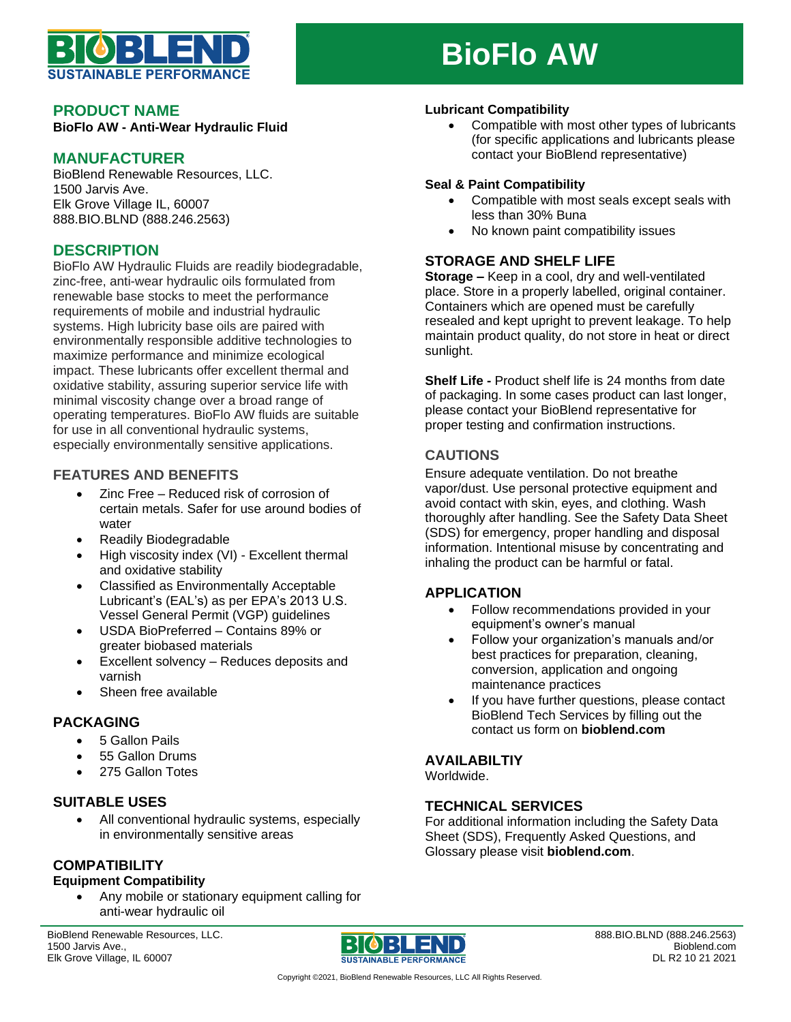

# **BioFlo AW**

#### **PRODUCT NAME**

**BioFlo AW - Anti-Wear Hydraulic Fluid**

## **MANUFACTURER**

BioBlend Renewable Resources, LLC. 1500 Jarvis Ave. Elk Grove Village IL, 60007 888.BIO.BLND (888.246.2563)

# **DESCRIPTION**

BioFlo AW Hydraulic Fluids are readily biodegradable, zinc-free, anti-wear hydraulic oils formulated from renewable base stocks to meet the performance requirements of mobile and industrial hydraulic systems. High lubricity base oils are paired with environmentally responsible additive technologies to maximize performance and minimize ecological impact. These lubricants offer excellent thermal and oxidative stability, assuring superior service life with minimal viscosity change over a broad range of operating temperatures. BioFlo AW fluids are suitable for use in all conventional hydraulic systems, especially environmentally sensitive applications.

## **FEATURES AND BENEFITS**

- Zinc Free Reduced risk of corrosion of certain metals. Safer for use around bodies of water
- Readily Biodegradable
- High viscosity index (VI) Excellent thermal and oxidative stability
- Classified as Environmentally Acceptable Lubricant's (EAL's) as per EPA's 2013 U.S. Vessel General Permit (VGP) guidelines
- USDA BioPreferred Contains 89% or greater biobased materials
- Excellent solvency Reduces deposits and varnish
- Sheen free available

#### **PACKAGING**

- 5 Gallon Pails
- 55 Gallon Drums
- 275 Gallon Totes

#### **SUITABLE USES**

• All conventional hydraulic systems, especially in environmentally sensitive areas

# **COMPATIBILITY**

# **Equipment Compatibility**

• Any mobile or stationary equipment calling for anti-wear hydraulic oil

BioBlend Renewable Resources, LLC. 1500 Jarvis Ave., Elk Grove Village, IL 60007



**Lubricant Compatibility** • Compatible with most other types of lubricants (for specific applications and lubricants please contact your BioBlend representative)

#### **Seal & Paint Compatibility**

- Compatible with most seals except seals with less than 30% Buna
- No known paint compatibility issues

## **STORAGE AND SHELF LIFE**

**Storage –** Keep in a cool, dry and well-ventilated place. Store in a properly labelled, original container. Containers which are opened must be carefully resealed and kept upright to prevent leakage. To help maintain product quality, do not store in heat or direct sunlight.

**Shelf Life -** Product shelf life is 24 months from date of packaging. In some cases product can last longer, please contact your BioBlend representative for proper testing and confirmation instructions.

#### **CAUTIONS**

Ensure adequate ventilation. Do not breathe vapor/dust. Use personal protective equipment and avoid contact with skin, eyes, and clothing. Wash thoroughly after handling. See the Safety Data Sheet (SDS) for emergency, proper handling and disposal information. Intentional misuse by concentrating and inhaling the product can be harmful or fatal.

#### **APPLICATION**

- Follow recommendations provided in your equipment's owner's manual
- Follow your organization's manuals and/or best practices for preparation, cleaning, conversion, application and ongoing maintenance practices
- If you have further questions, please contact BioBlend Tech Services by filling out the contact us form on **bioblend.com**

# **AVAILABILTIY**

Worldwide.

# **TECHNICAL SERVICES**

For additional information including the Safety Data Sheet (SDS), Frequently Asked Questions, and Glossary please visit **bioblend.com**.